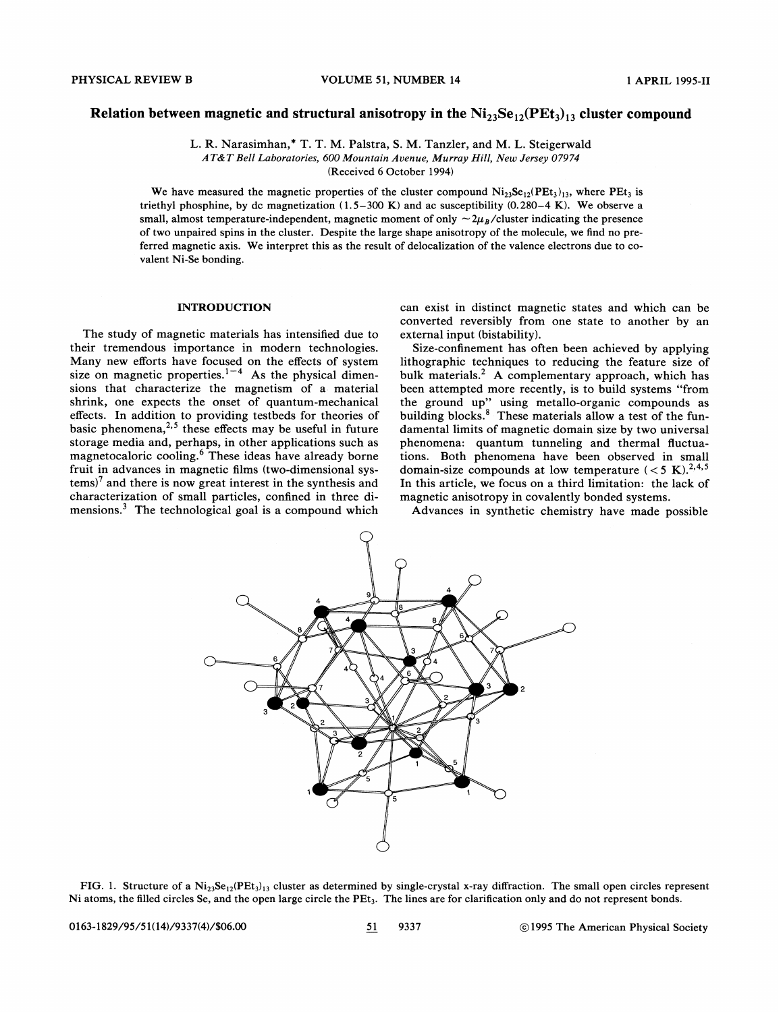# Relation between magnetic and structural anisotropy in the  $Ni_{23}Se_{12}(PEt<sub>3</sub>)_{13}$  cluster compound

L. R. Narasimhan,\* T. T. M. Palstra, S. M. Tanzler, and M. L. Steigerwald AT&T Bell Laboratories, 600 Mountain Avenue, Murray Hill, New Jersey 07974 (Received 6 October 1994)

We have measured the magnetic properties of the cluster compound  $Ni_{23}Se_{12}(PEt<sub>3</sub>)_{13}$ , where  $PEt<sub>3</sub>$  is triethyl phosphine, by dc magnetization (1.5—300 K) and ac susceptibility (0.280—4 K). We observe a small, almost temperature-independent, magnetic moment of only  $\sim 2\mu_B$ /cluster indicating the presence of two unpaired spins in the cluster. Despite the large shape anisotropy of the molecule, we find no preferred magnetic axis. We interpret this as the result of delocalization of the valence electrons due to covalent Ni-Se bonding.

### INTRODUCTION

The study of magnetic materials has intensified due to their tremendous importance in modern technologies. Many new efforts have focused on the effects of system size on magnetic properties.<sup>1-4</sup> As the physical dimensions that characterize the magnetism of a material shrink, one expects the onset of quantum-mechanical effects. In addition to providing testbeds for theories of basic phenomena,<sup>2,5</sup> these effects may be useful in future storage media and, perhaps, in other applications such as magnetocaloric cooling.<sup>6</sup> These ideas have already borne fruit in advances in magnetic films (two-dimensional systems)<sup>7</sup> and there is now great interest in the synthesis and characterization of small particles, confined in three dimensions.<sup>3</sup> The technological goal is a compound which

can exist in distinct magnetic states and which can be converted reversibly from one state to another by an external input (bistability).

Size-confinement has often been achieved by applying lithographic techniques to reducing the feature size of bulk materials. $<sup>2</sup>$  A complementary approach, which has</sup> been attempted more recently, is to build systems "from the ground up" using metallo-organic compounds as building blocks.<sup>8</sup> These materials allow a test of the fundamental limits of magnetic domain size by two universal phenomena: quantum tunneling and thermal fluctuations. Both phenomena have been observed in small domain-size compounds at low temperature ( $<$  5 K).<sup>2,4,5</sup> In this article, we focus on a third limitation: the lack of magnetic anisotropy in covalently bonded systems.

Advances in synthetic chemistry have made possible



FIG. 1. Structure of a  $Ni_{23}Se_{12}(PEt<sub>3</sub>)_{13}$  cluster as determined by single-crystal x-ray diffraction. The small open circles represent Ni atoms, the filled circles Se, and the open large circle the PEt<sub>3</sub>. The lines are for clarification only and do not represent bonds.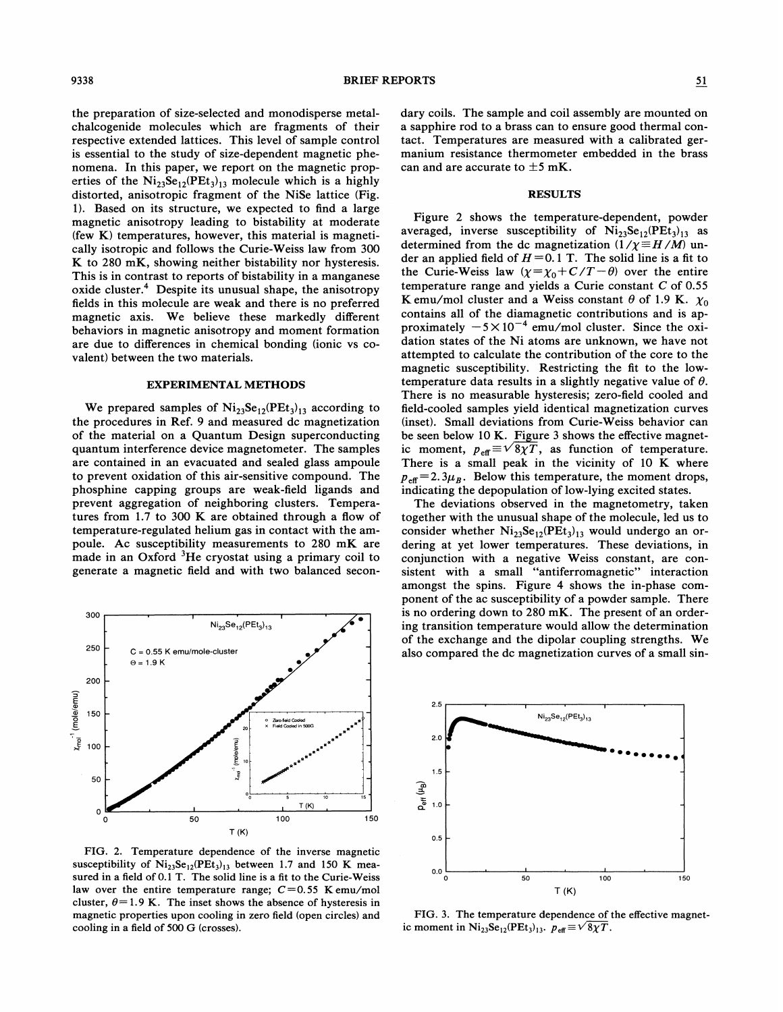the preparation of size-selected and monodisperse metalchalcogenide molecules which are fragments of their respective extended lattices. This level of sample control is essential to the study of size-dependent magnetic phenomena. In this paper, we report on the magnetic properties of the  $Ni_{23}Se_{12}(PEt<sub>3</sub>)_{13}$  molecule which is a highly distorted, anisotropic fragment of the NiSe lattice (Fig. 1). Based on its structure, we expected to find a large magnetic anisotropy leading to bistability at moderate (few K) temperatures, however, this material is magnetically isotropic and follows the Curie-Weiss law from 300 K to 280 mK, showing neither bistability nor hysteresis. This is in contrast to reports of bistability in a manganese oxide cluster.<sup>4</sup> Despite its unusual shape, the anisotropy fields in this molecule are weak and there is no preferred magnetic axis. We believe these markedly different behaviors in magnetic anisotropy and moment formation are due to differences in chemical bonding (ionic vs covalent) between the two materials.

#### EXPERIMENTAL METHODS

We prepared samples of  $Ni_{23}Se_{12}(PEt_3)_{13}$  according to the procedures in Ref. 9 and measured dc magnetization of the material on a Quantum Design superconducting quantum interference device magnetometer. The samples are contained in an evacuated and sealed glass ampoule to prevent oxidation of this air-sensitive compound. The phosphine capping groups are weak-field ligands and prevent aggregation of neighboring clusters. Temperatures from 1.7 to 300 K are obtained through a fiow of temperature-regulated helium gas in contact with the ampoule. Ac susceptibility measurements to 280 mK are made in an Oxford  ${}^{3}$ He cryostat using a primary coil to generate a magnetic field and with two balanced secon-



FIG. 2. Temperature dependence of the inverse magnetic susceptibility of  $Ni_{23}Se_{12}(PEt_3)_{13}$  between 1.7 and 150 K measured in a field of 0.<sup>1</sup> T. The solid line is a fit to the Curie-Weiss law over the entire temperature range;  $C=0.55$  Kemu/mol cluster,  $\theta$ =1.9 K. The inset shows the absence of hysteresis in magnetic properties upon cooling in zero field (open circles) and cooling in a field of 500 G (crosses).

dary coils. The sample and coil assembly are mounted on a sapphire rod to a brass can to ensure good thermal contact. Temperatures are measured with a calibrated germanium resistance thermometer embedded in the brass can and are accurate to  $\pm 5$  mK.

# RESULTS

Figure 2 shows the temperature-dependent, powder averaged, inverse susceptibility of  $Ni_{23}Se_{12}(PEt<sub>3</sub>)_{13}$  as determined from the dc magnetization  $(1/\chi \equiv H/M)$  under an applied field of  $H = 0.1$  T. The solid line is a fit to the Curie-Weiss law  $(\chi = \chi_0 + C/T - \theta)$  over the entire temperature range and yields a Curie constant  $C$  of 0.55 K emu/mol cluster and a Weiss constant  $\theta$  of 1.9 K.  $\chi_0$ contains all of the diamagnetic contributions and is approximately  $-5 \times 10^{-4}$  emu/mol cluster. Since the oxidation states of the Ni atoms are unknown, we have not attempted to calculate the contribution of the core to the magnetic susceptibility. Restricting the fit to the lowtemperature data results in a slightly negative value of  $\theta$ . There is no measurable hysteresis; zero-field cooled and field-cooled samples yield identical magnetization curves (inset). Small deviations from Curie-Weiss behavior can be seen below 10 K. Figure 3 shows the effective magnetic moment,  $p_{\text{eff}} \equiv \sqrt{8\chi T}$ , as function of temperature. There is a small peak in the vicinity of 10 K where  $p_{\text{eff}}=2.3\mu_B$ . Below this temperature, the moment drops, indicating the depopulation of low-lying excited states.

The deviations observed in the magnetometry, taken together with the unusual shape of the molecule, led us to consider whether  $Ni_{23}Se_{12}(PEt_3)_{13}$  would undergo an ordering at yet lower temperatures. These deviations, in conjunction with a negative Weiss constant, are consistent with a small "antiferromagnetic" interaction amongst the spins. Figure 4 shows the in-phase component of the ac susceptibility of a powder sample. There is no ordering down to 280 mK. The present of an ordering transition temperature would allow the determination of the exchange and the dipolar coupling strengths. We also compared the dc magnetization curves of a small sin-



FIG. 3. The temperature dependence of the effective magnetic moment in  $Ni_{23}Se_{12}(PEt_3)_{13}$ .  $p_{\text{eff}} \equiv \sqrt{8\chi T}$ .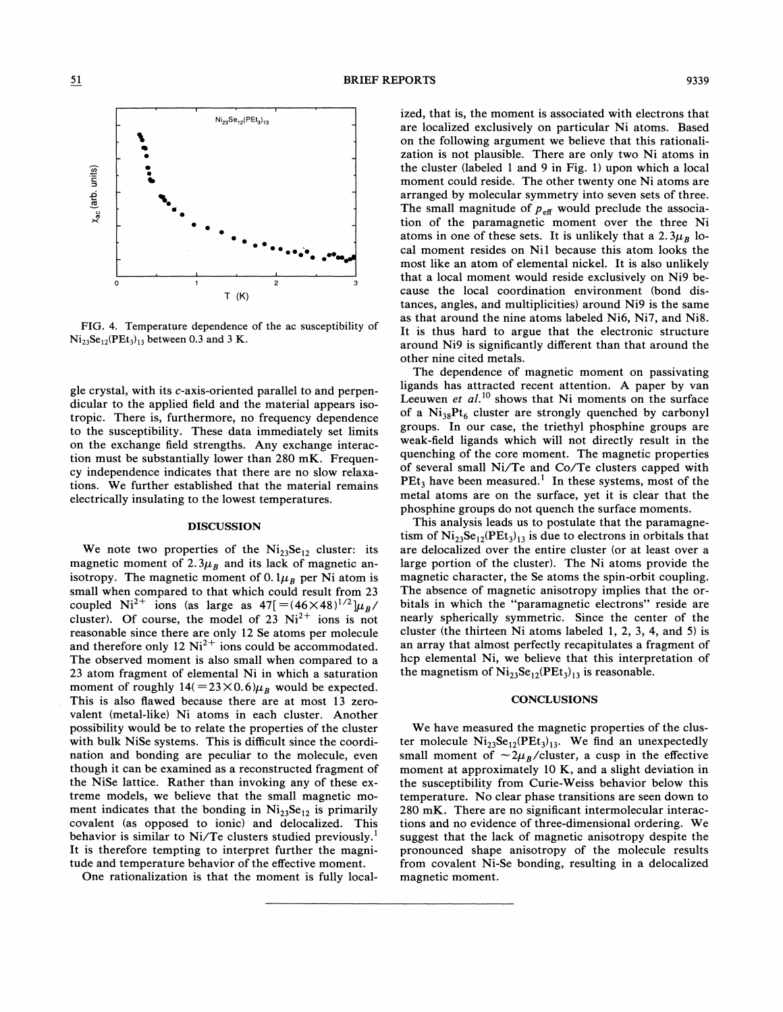

 $\overline{51}$ 

FIG. 4. Temperature dependence of the ac susceptibility of  $Ni_{23}Se_{12}(PEt_3)_{13}$  between 0.3 and 3 K.

gle crystal, with its c-axis-oriented parallel to and perpendicular to the applied field and the material appears isotropic. There is, furthermore, no frequency dependence to the susceptibility. These data immediately set limits on the exchange field strengths. Any exchange interaction must be substantially lower than 280 mK. Frequency independence indicates that there are no slow relaxations. We further established that the material remains electrically insulating to the lowest temperatures.

#### DISCUSSION

We note two properties of the  $Ni_{23}Se_{12}$  cluster: its magnetic moment of 2.3 $\mu_B$  and its lack of magnetic anisotropy. The magnetic moment of 0.  $1\mu_B$  per Ni atom is small when compared to that which could result from 23 coupled Ni<sup>2+</sup> ions (as large as  $47[=(46\times48)^{1/2}]\mu_B/$ cluster). Of course, the model of  $23$  Ni<sup>2+</sup> ions is not reasonable since there are only 12 Se atoms per molecule and therefore only 12  $Ni^{2+}$  ions could be accommodated. The observed moment is also small when compared to a 23 atom fragment of elemental Ni in which a saturation moment of roughly  $14 (=23 \times 0.6)\mu_B$  would be expected. This is also flawed because there are at most 13 zerovalent (metal-like) Ni atoms in each cluster. Another possibility would be to relate the properties of the cluster with bulk NiSe systems. This is dificult since the coordination and bonding are peculiar to the molecule, even though it can be examined as a reconstructed fragment of the NiSe lattice. Rather than invoking any of these extreme models, we believe that the small magnetic moment indicates that the bonding in  $Ni_{23}Se_{12}$  is primarily covalent (as opposed to ionic) and delocalized. This behavior is similar to Ni/Te clusters studied previously. ' It is therefore tempting to interpret further the magnitude and temperature behavior of the effective moment.

One rationalization is that the moment is fully local-

ized, that is, the moment is associated with electrons that are localized exclusively on particular Ni atoms. Based on the following argument we believe that this rationalization is not plausible. There are only two Ni atoms in the cluster (labeled <sup>1</sup> and 9 in Fig. 1) upon which a local moment could reside. The other twenty one Ni atoms are arranged by molecular symmetry into seven sets of three. The small magnitude of  $p_{\text{eff}}$  would preclude the association of the paramagnetic moment over the three Ni atoms in one of these sets. It is unlikely that a 2.3 $\mu_B$  local moment resides on Nil because this atom looks the most like an atom of elemental nickel. It is also unlikely that a local moment would reside exclusively on Ni9 because the local coordination environment (bond distances, angles, and multiplicities) around Ni9 is the same as that around the nine atoms labeled Ni6, Ni7, and Ni8. It is thus hard to argue that the electronic structure around Ni9 is significantly different than that around the other nine cited metals.

The dependence of magnetic moment on passivating ligands has attracted recent attention. A paper by van Leeuwen et  $al$ .<sup>10</sup> shows that Ni moments on the surface of a  $Ni_{38}Pt_6$  cluster are strongly quenched by carbonyl groups. In our case, the triethyl phosphine groups are weak-field ligands which will not directly result in the quenching of the core moment. The magnetic properties of several small Ni/Te and Co/Te clusters capped with PEt<sub>3</sub> have been measured.<sup>1</sup> In these systems, most of the metal atoms are on the surface, yet it is clear that the phosphine groups do not quench the surface moments.

This analysis leads us to postulate that the paramagnetism of  $Ni_{23}Se_{12}(PEt_3)_{13}$  is due to electrons in orbitals that are delocalized over the entire cluster (or at least over a large portion of the cluster). The Ni atoms provide the magnetic character, the Se atoms the spin-orbit coupling. The absence of magnetic anisotropy implies that the orbitals in which the "paramagnetic electrons" reside are nearly spherically symmetric. Since the center of the cluster (the thirteen Ni atoms labeled 1, 2, 3, 4, and 5) is an array that almost perfectly recapitulates a fragment of hcp elemental Ni, we believe that this interpretation of the magnetism of  $Ni_{23}Se_{12}(PEt_3)_{13}$  is reasonable.

# **CONCLUSIONS**

We have measured the magnetic properties of the cluster molecule  $Ni_{23}Se_{12}(PEt_3)_{13}$ . We find an unexpectedly small moment of  $\sim 2\mu_B$ /cluster, a cusp in the effective moment at approximately 10 K, and a slight deviation in the susceptibility from Curie-Weiss behavior below this temperature. No clear phase transitions are seen down to 280 mK. There are no significant intermolecular interactions and no evidence of three-dimensional ordering. We suggest that the lack of magnetic anisotropy despite the pronounced shape anisotropy of the molecule results from covalent Ni-Se bonding, resulting in a delocalized magnetic moment.